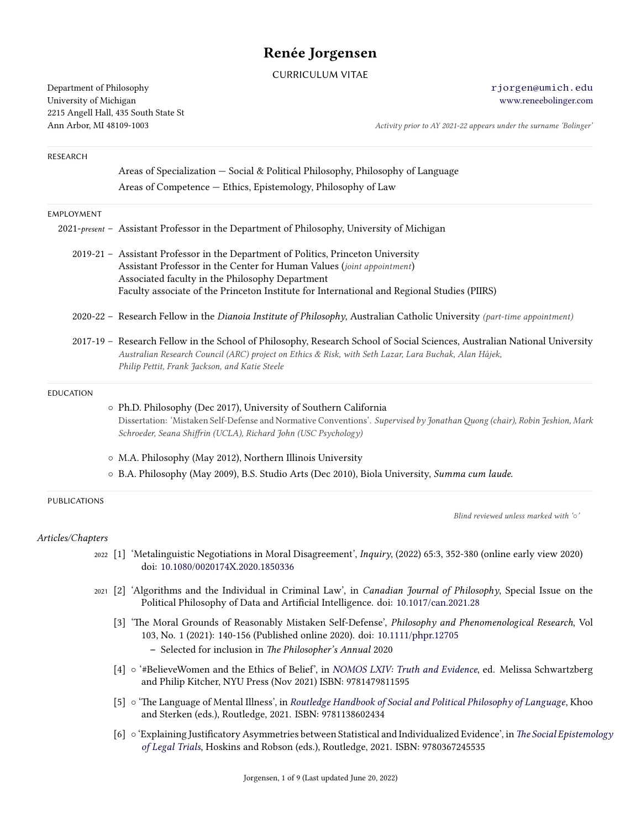# **Renée Jorgensen**

CURRICULUM VITAE

Department of Philosophy [rjorgen@umich.edu](mailto:rjorgen@umich.edu) University of Michigan [www.reneebolinger.com](http://wwww.reneebolinger.com) 2215 Angell Hall, 435 South State St

Ann Arbor, MI 48109-1003 *Activity prior to AY 2021-22 appears under the surname 'Bolinger'*

| RESEARCH            |                                                                                                                                                                                                                                                                                      |
|---------------------|--------------------------------------------------------------------------------------------------------------------------------------------------------------------------------------------------------------------------------------------------------------------------------------|
|                     | Areas of Specialization - Social & Political Philosophy, Philosophy of Language                                                                                                                                                                                                      |
|                     | Areas of Competence - Ethics, Epistemology, Philosophy of Law                                                                                                                                                                                                                        |
| EMPLOYMENT          |                                                                                                                                                                                                                                                                                      |
|                     | 2021-present - Assistant Professor in the Department of Philosophy, University of Michigan                                                                                                                                                                                           |
|                     | 2019-21 - Assistant Professor in the Department of Politics, Princeton University                                                                                                                                                                                                    |
|                     | Assistant Professor in the Center for Human Values (joint appointment)                                                                                                                                                                                                               |
|                     | Associated faculty in the Philosophy Department                                                                                                                                                                                                                                      |
|                     | Faculty associate of the Princeton Institute for International and Regional Studies (PIIRS)                                                                                                                                                                                          |
|                     | 2020-22 - Research Fellow in the Dianoia Institute of Philosophy, Australian Catholic University (part-time appointment)                                                                                                                                                             |
|                     | 2017-19 - Research Fellow in the School of Philosophy, Research School of Social Sciences, Australian National University<br>Australian Research Council (ARC) project on Ethics & Risk, with Seth Lazar, Lara Buchak, Alan Hájek,<br>Philip Pettit, Frank Jackson, and Katie Steele |
| <b>EDUCATION</b>    |                                                                                                                                                                                                                                                                                      |
|                     | o Ph.D. Philosophy (Dec 2017), University of Southern California                                                                                                                                                                                                                     |
|                     | Dissertation: 'Mistaken Self-Defense and Normative Conventions'. Supervised by Jonathan Quong (chair), Robin Jeshion, Mark<br>Schroeder, Seana Shiffrin (UCLA), Richard John (USC Psychology)                                                                                        |
|                     | o M.A. Philosophy (May 2012), Northern Illinois University                                                                                                                                                                                                                           |
|                     | o B.A. Philosophy (May 2009), B.S. Studio Arts (Dec 2010), Biola University, Summa cum laude.                                                                                                                                                                                        |
| <b>PUBLICATIONS</b> |                                                                                                                                                                                                                                                                                      |
|                     | Blind reviewed unless marked with 'o'                                                                                                                                                                                                                                                |
| Articles/Chapters   |                                                                                                                                                                                                                                                                                      |
|                     | 2022 [1] 'Metalinguistic Negotiations in Moral Disagreement', <i>Inquiry</i> , (2022) 65:3, 352-380 (online early view 2020)<br>doi: 10.1080/0020174X.2020.1850336                                                                                                                   |
| 2021                | [2] 'Algorithms and the Individual in Criminal Law', in Canadian Journal of Philosophy, Special Issue on the<br>Political Philosophy of Data and Artificial Intelligence. doi: 10.1017/can.2021.28                                                                                   |

- [3] 'The Moral Grounds of Reasonably Mistaken Self-Defense', *Philosophy and Phenomenological Research*, Vol 103, No. 1 (2021): 140-156 (Published online 2020). doi: [10.1111/phpr.12705](http://dx.doi.org/10.1111/phpr.12705) **–** Selected for inclusion in *The Philosopher's Annual* 2020
- [4] *◦* '#BelieveWomen and the Ethics of Belief', in *[NOMOS LXIV: Truth and Evidence](https://nyupress.org/9781479811595/truth-and-evidence/)*, ed. Melissa Schwartzberg and Philip Kitcher, NYU Press (Nov 2021) ISBN: 9781479811595
- [5] *◦* 'The Language of Mental Illness', in *[Routledge Handbook of Social and Political Philosophy of Language](https://www.routledge.com/The-Routledge-Handbook-of-Social-and-Political-Philosophy-of-Language/Khoo-Sterken/p/book/9781138602434)*, Khoo and Sterken (eds.), Routledge, 2021. ISBN: 9781138602434
- [6] *◦* 'Explaining Justificatory Asymmetries between Statistical and Individualized Evidence', in *[The Social Epistemology](https://www.routledge.com/The-Social-Epistemology-of-Legal-Trials/Hoskins-Robson/p/book/9780367245535) [of Legal Trials](https://www.routledge.com/The-Social-Epistemology-of-Legal-Trials/Hoskins-Robson/p/book/9780367245535)*, Hoskins and Robson (eds.), Routledge, 2021. ISBN: 9780367245535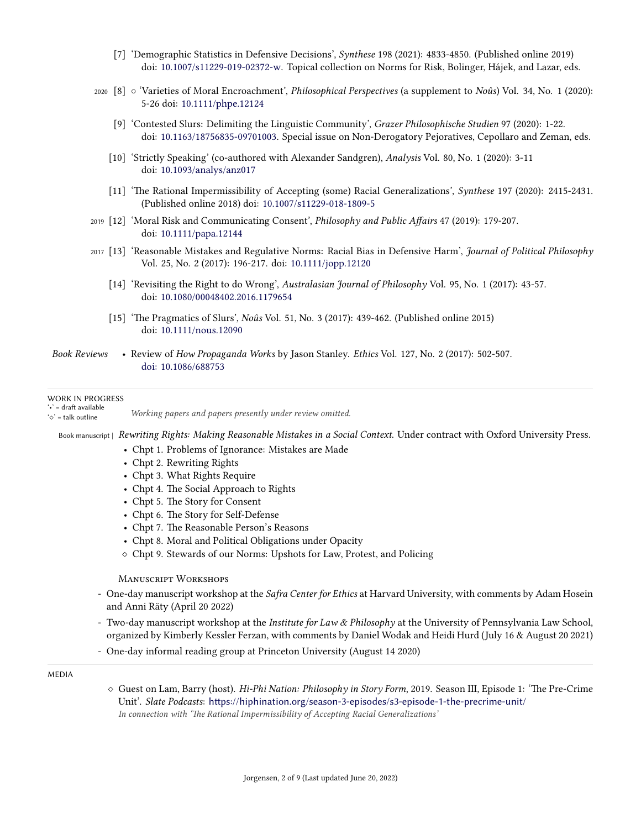- [7] 'Demographic Statistics in Defensive Decisions', *Synthese* 198 (2021): 4833-4850. (Published online 2019) doi: [10.1007/s11229-019-02372-w](http://dx.doi.org/10.1007/s11229-019-02372-w). Topical collection on Norms for Risk, Bolinger, Hájek, and Lazar, eds.
- <sup>2020</sup> [8] *◦* 'Varieties of Moral Encroachment', *Philosophical Perspectives* (a supplement to *Noûs*) Vol. 34, No. 1 (2020): 5-26 doi: [10.1111/phpe.12124](http://dx.doi.org/10.1111/phpe.12124)
	- [9] 'Contested Slurs: Delimiting the Linguistic Community', *Grazer Philosophische Studien* 97 (2020): 1-22. doi: [10.1163/18756835-09701003](http://dx.doi.org/10.1163/18756835-09701003). Special issue on Non-Derogatory Pejoratives, Cepollaro and Zeman, eds.
	- [10] 'Strictly Speaking' (co-authored with Alexander Sandgren), *Analysis* Vol. 80, No. 1 (2020): 3-11 doi: [10.1093/analys/anz017](http://dx.doi.org/10.1093/analys/anz017)
	- [11] 'The Rational Impermissibility of Accepting (some) Racial Generalizations', *Synthese* 197 (2020): 2415-2431. (Published online 2018) doi: [10.1007/s11229-018-1809-5](http://dx.doi.org/10.1007/s11229-018-1809-5)
- <sup>2019</sup> [12] 'Moral Risk and Communicating Consent', *Philosophy and Public Affairs* 47 (2019): 179-207. doi: [10.1111/papa.12144](http://dx.doi.org/10.1111/papa.12144)
- <sup>2017</sup> [13] 'Reasonable Mistakes and Regulative Norms: Racial Bias in Defensive Harm', *Journal of Political Philosophy* Vol. 25, No. 2 (2017): 196-217. doi: [10.1111/jopp.12120](http://dx.doi.org/10.1111/jopp.12120)
	- [14] 'Revisiting the Right to do Wrong', *Australasian Journal of Philosophy* Vol. 95, No. 1 (2017): 43-57. doi: [10.1080/00048402.2016.1179654](http://dx.doi.org/10.1080/00048402.2016.1179654)
	- [15] 'The Pragmatics of Slurs', *Noûs* Vol. 51, No. 3 (2017): 439-462. (Published online 2015) doi: [10.1111/nous.12090](http://dx.doi.org/10.1111/nous.12090)
- *Book Reviews* Review of *How Propaganda Works* by Jason Stanley. *Ethics* Vol. 127, No. 2 (2017): 502-507. [doi: 10.1086/688753](http://www.journals.uchicago.edu/doi/abs/10.1086/688753)

#### WORK IN PROGRESS

'•' = draft available '*⋄*' = talk outline *Working papers and papers presently under review omitted.*

Book manuscript | Rewriting Rights: Making Reasonable Mistakes in a Social Context. Under contract with Oxford University Press.

- Chpt 1. Problems of Ignorance: Mistakes are Made
- Chpt 2. Rewriting Rights
- Chpt 3. What Rights Require
- Chpt 4. The Social Approach to Rights
- Chpt 5. The Story for Consent
- Chpt 6. The Story for Self-Defense
- Chpt 7. The Reasonable Person's Reasons
- Chpt 8. Moral and Political Obligations under Opacity
- *⋄* Chpt 9. Stewards of our Norms: Upshots for Law, Protest, and Policing

ManuscRipt WoRKshops

- One-day manuscript workshop at the *Safra Center for Ethics* at Harvard University, with comments by Adam Hosein and Anni Räty (April 20 2022)
- Two-day manuscript workshop at the *Institute for Law & Philosophy* at the University of Pennsylvania Law School, organized by Kimberly Kessler Ferzan, with comments by Daniel Wodak and Heidi Hurd (July 16 & August 20 2021)
- One-day informal reading group at Princeton University (August 14 2020)

MEDIA

*⋄* Guest on Lam, Barry (host). *Hi-Phi Nation: Philosophy in Story Form*, 2019. Season III, Episode 1: 'The Pre-Crime Unit'. *Slate Podcasts*: <https://hiphination.org/season-3-episodes/s3-episode-1-the-precrime-unit/> *In connection with 'The Rational Impermissibility of Accepting Racial Generalizations'*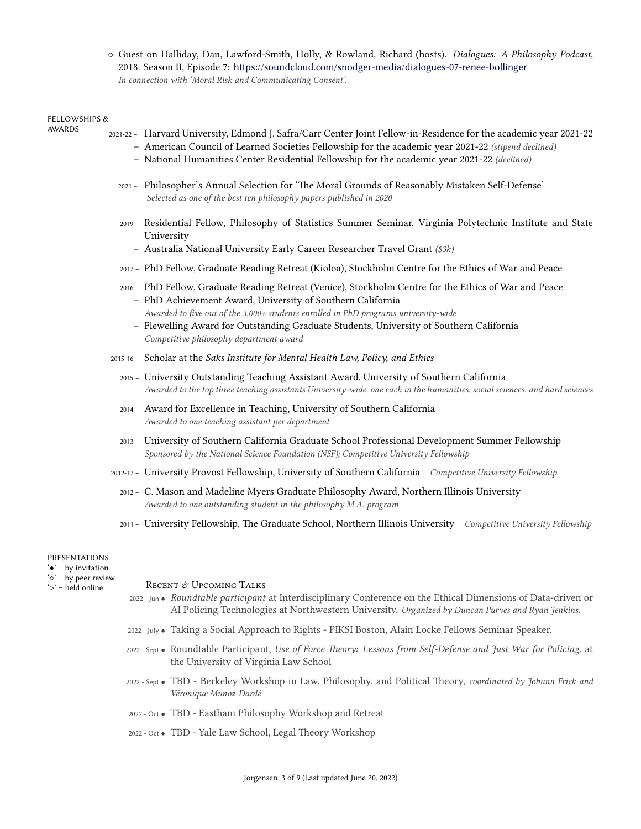*⋄* Guest on Halliday, Dan, Lawford-Smith, Holly, & Rowland, Richard (hosts). *Dialogues: A Philosophy Podcast*, 2018. Season II, Episode 7: <https://soundcloud.com/snodger-media/dialogues-07-renee-bollinger> *In connection with 'Moral Risk and Communicating Consent'.*

## FELLOWSHIPS &

| <b>AWARDS</b> | 2021-22 - Harvard University, Edmond J. Safra/Carr Center Joint Fellow-in-Residence for the academic year 2021-22<br>- American Council of Learned Societies Fellowship for the academic year 2021-22 (stipend declined)<br>- National Humanities Center Residential Fellowship for the academic year 2021-22 (declined)                                                                          |
|---------------|---------------------------------------------------------------------------------------------------------------------------------------------------------------------------------------------------------------------------------------------------------------------------------------------------------------------------------------------------------------------------------------------------|
|               | 2021 - Philosopher's Annual Selection for 'The Moral Grounds of Reasonably Mistaken Self-Defense'<br>Selected as one of the best ten philosophy papers published in 2020                                                                                                                                                                                                                          |
|               | 2019 - Residential Fellow, Philosophy of Statistics Summer Seminar, Virginia Polytechnic Institute and State<br>University<br>- Australia National University Early Career Researcher Travel Grant (\$3k)                                                                                                                                                                                         |
|               | 2017 - PhD Fellow, Graduate Reading Retreat (Kioloa), Stockholm Centre for the Ethics of War and Peace                                                                                                                                                                                                                                                                                            |
|               | 2016 - PhD Fellow, Graduate Reading Retreat (Venice), Stockholm Centre for the Ethics of War and Peace<br>- PhD Achievement Award, University of Southern California<br>Awarded to five out of the 3,000+ students enrolled in PhD programs university-wide<br>- Flewelling Award for Outstanding Graduate Students, University of Southern California<br>Competitive philosophy department award |
|               | 2015-16 - Scholar at the Saks Institute for Mental Health Law, Policy, and Ethics                                                                                                                                                                                                                                                                                                                 |
|               | 2015 - University Outstanding Teaching Assistant Award, University of Southern California<br>Awarded to the top three teaching assistants University-wide, one each in the humanities, social sciences, and hard sciences                                                                                                                                                                         |
|               | 2014 - Award for Excellence in Teaching, University of Southern California<br>Awarded to one teaching assistant per department                                                                                                                                                                                                                                                                    |
|               | 2013 - University of Southern California Graduate School Professional Development Summer Fellowship<br>Sponsored by the National Science Foundation (NSF); Competitive University Fellowship                                                                                                                                                                                                      |
|               | 2012-17 - University Provost Fellowship, University of Southern California - Competitive University Fellowship                                                                                                                                                                                                                                                                                    |
|               | 2012 - C. Mason and Madeline Myers Graduate Philosophy Award, Northern Illinois University<br>Awarded to one outstanding student in the philosophy M.A. program                                                                                                                                                                                                                                   |
|               | 2011 - University Fellowship, The Graduate School, Northern Illinois University - Competitive University Fellowship                                                                                                                                                                                                                                                                               |
|               |                                                                                                                                                                                                                                                                                                                                                                                                   |

# PRESENTATIONS

'*•*' = by invitation

'*◦*' = by peer review

## RECENT & UPCOMING TALKS

- 2022 Jun *• Roundtable participant* at Interdisciplinary Conference on the Ethical Dimensions of Data-driven or AI Policing Technologies at Northwestern University. *Organized by Duncan Purves and Ryan Jenkins*.
- 2022 July *•* Taking a Social Approach to Rights PIKSI Boston, Alain Locke Fellows Seminar Speaker.
- 2022 Sept *•* Roundtable Participant, *Use of Force Theory: Lessons from Self-Defense and Just War for Policing*, at the University of Virginia Law School
- 2022 Sept *•* TBD Berkeley Workshop in Law, Philosophy, and Political Theory, *coordinated by Johann Frick and Véronique Munoz-Dardé*
- 2022 Oct *•* TBD Eastham Philosophy Workshop and Retreat
- 2022 Oct *•* TBD Yale Law School, Legal Theory Workshop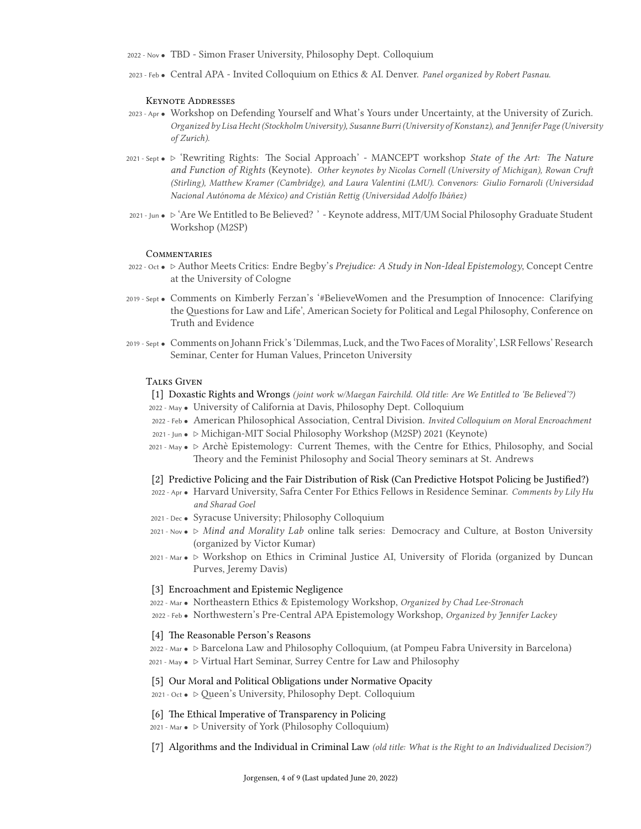2022 - Nov *•* TBD - Simon Fraser University, Philosophy Dept. Colloquium

2023 - Feb *•* Central APA - Invited Colloquium on Ethics & AI. Denver. *Panel organized by Robert Pasnau.*

#### Keynote AddResses

- 2023 Apr *•* Workshop on Defending Yourself and What's Yours under Uncertainty, at the University of Zurich. *Organized by Lisa Hecht (Stockholm University), Susanne Burri (University of Konstanz), and Jennifer Page (University of Zurich).*
- 2021 Sept *• ▷* 'Rewriting Rights: The Social Approach' MANCEPT workshop *State of the Art: The Nature and Function of Rights* (Keynote). *Other keynotes by Nicolas Cornell (University of Michigan), Rowan Cruft (Stirling), Matthew Kramer (Cambridge), and Laura Valentini (LMU). Convenors: Giulio Fornaroli (Universidad Nacional Autónoma de México) and Cristián Rettig (Universidad Adolfo Ibáñez)*
- 2021 Jun *• ▷* 'Are We Entitled to Be Believed? ' Keynote address, MIT/UM Social Philosophy Graduate Student Workshop (M2SP)

## **COMMENTARIES**

- 2022 Oct *• ▷* Author Meets Critics: Endre Begby's *Prejudice: A Study in Non-Ideal Epistemology*, Concept Centre at the University of Cologne
- 2019 Sept *•* Comments on Kimberly Ferzan's '#BelieveWomen and the Presumption of Innocence: Clarifying the Questions for Law and Life', American Society for Political and Legal Philosophy, Conference on Truth and Evidence
- 2019 Sept *•* Comments on Johann Frick's 'Dilemmas, Luck, and the Two Faces of Morality', LSR Fellows' Research Seminar, Center for Human Values, Princeton University

## **TALKS GIVEN**

- [1] Doxastic Rights and Wrongs *(joint work w/Maegan Fairchild. Old title: Are We Entitled to 'Be Believed'?)* 2022 - May *•* University of California at Davis, Philosophy Dept. Colloquium
- 2022 Feb *•* American Philosophical Association, Central Division. *Invited Colloquium on Moral Encroachment* 2021 - Jun *• ▷* Michigan-MIT Social Philosophy Workshop (M2SP) 2021 (Keynote)
- 2021 May *• ▷* Archè Epistemology: Current Themes, with the Centre for Ethics, Philosophy, and Social Theory and the Feminist Philosophy and Social Theory seminars at St. Andrews

#### [2] Predictive Policing and the Fair Distribution of Risk (Can Predictive Hotspot Policing be Justified?)

- 2022 Apr *•* Harvard University, Safra Center For Ethics Fellows in Residence Seminar. *Comments by Lily Hu and Sharad Goel*
- 2021 Dec *•* Syracuse University; Philosophy Colloquium
- 2021 Nov *• ▷ Mind and Morality Lab* online talk series: Democracy and Culture, at Boston University (organized by Victor Kumar)
- 2021 Mar *• ▷* Workshop on Ethics in Criminal Justice AI, University of Florida (organized by Duncan Purves, Jeremy Davis)

### [3] Encroachment and Epistemic Negligence

- 2022 Mar *•* Northeastern Ethics & Epistemology Workshop, *Organized by Chad Lee-Stronach*
- 2022 Feb *•* Northwestern's Pre-Central APA Epistemology Workshop, *Organized by Jennifer Lackey*

## [4] The Reasonable Person's Reasons

2022 - Mar *• ▷* Barcelona Law and Philosophy Colloquium, (at Pompeu Fabra University in Barcelona) 2021 - May *• ▷* Virtual Hart Seminar, Surrey Centre for Law and Philosophy

#### [5] Our Moral and Political Obligations under Normative Opacity

2021 - Oct *• ▷* Queen's University, Philosophy Dept. Colloquium

## [6] The Ethical Imperative of Transparency in Policing

- 2021 Mar *• ▷* University of York (Philosophy Colloquium)
- [7] Algorithms and the Individual in Criminal Law *(old title: What is the Right to an Individualized Decision?)*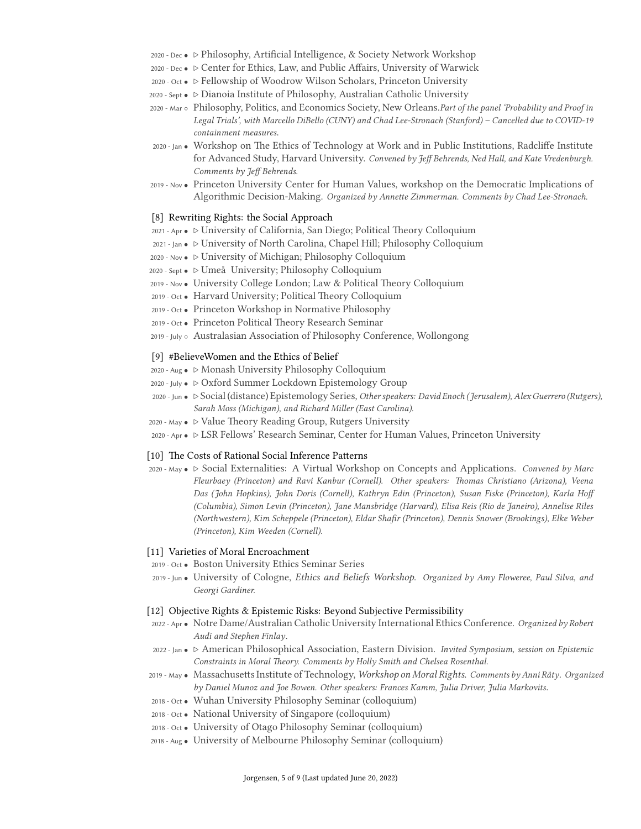- 2020 Dec *• ▷* Philosophy, Artificial Intelligence, & Society Network Workshop
- 2020 Dec *• ▷* Center for Ethics, Law, and Public Affairs, University of Warwick
- 2020 Oct *• ▷* Fellowship of Woodrow Wilson Scholars, Princeton University
- 2020 Sept *• ▷* Dianoia Institute of Philosophy, Australian Catholic University
- 2020 Mar *◦* Philosophy, Politics, and Economics Society, New Orleans.*Part of the panel 'Probability and Proof in Legal Trials', with Marcello DiBello (CUNY) and Chad Lee-Stronach (Stanford) – Cancelled due to COVID-19 containment measures*.
- 2020 Jan *•* Workshop on The Ethics of Technology at Work and in Public Institutions, Radcliffe Institute for Advanced Study, Harvard University. *Convened by Jeff Behrends, Ned Hall, and Kate Vredenburgh. Comments by Jeff Behrends.*
- 2019 Nov *•* Princeton University Center for Human Values, workshop on the Democratic Implications of Algorithmic Decision-Making. *Organized by Annette Zimmerman. Comments by Chad Lee-Stronach.*

#### [8] Rewriting Rights: the Social Approach

- 2021 Apr *• ▷* University of California, San Diego; Political Theory Colloquium
- 2021 Jan *• ▷* University of North Carolina, Chapel Hill; Philosophy Colloquium
- 2020 Nov *• ▷* University of Michigan; Philosophy Colloquium
- 2020 Sept *• ▷* Umeå University; Philosophy Colloquium
- 2019 Nov *•* University College London; Law & Political Theory Colloquium
- 2019 Oct *•* Harvard University; Political Theory Colloquium
- 2019 Oct *•* Princeton Workshop in Normative Philosophy
- 2019 Oct *•* Princeton Political Theory Research Seminar
- 2019 July *◦* Australasian Association of Philosophy Conference, Wollongong

## [9] #BelieveWomen and the Ethics of Belief

- 2020 Aug *• ▷* Monash University Philosophy Colloquium
- 2020 July *• ▷* Oxford Summer Lockdown Epistemology Group
- 2020 Jun *• ▷* Social (distance) Epistemology Series, *Other speakers: David Enoch (Jerusalem), Alex Guerrero (Rutgers), Sarah Moss (Michigan), and Richard Miller (East Carolina).*
- 2020 May *• ▷* Value Theory Reading Group, Rutgers University
- 2020 Apr *• ▷* LSR Fellows' Research Seminar, Center for Human Values, Princeton University

## [10] The Costs of Rational Social Inference Patterns

2020 - May *• ▷* Social Externalities: A Virtual Workshop on Concepts and Applications. *Convened by Marc Fleurbaey (Princeton) and Ravi Kanbur (Cornell). Other speakers: Thomas Christiano (Arizona), Veena Das (John Hopkins), John Doris (Cornell), Kathryn Edin (Princeton), Susan Fiske (Princeton), Karla Hoff (Columbia), Simon Levin (Princeton), Jane Mansbridge (Harvard), Elisa Reis (Rio de Janeiro), Annelise Riles (Northwestern), Kim Scheppele (Princeton), Eldar Shafir (Princeton), Dennis Snower (Brookings), Elke Weber (Princeton), Kim Weeden (Cornell).*

### [11] Varieties of Moral Encroachment

- 2019 Oct *•* Boston University Ethics Seminar Series
- 2019 Jun *•* University of Cologne, *Ethics and Beliefs Workshop*. *Organized by Amy Floweree, Paul Silva, and Georgi Gardiner.*

## [12] Objective Rights & Epistemic Risks: Beyond Subjective Permissibility

- 2022 Apr *•* Notre Dame/Australian Catholic University International Ethics Conference. *Organized by Robert Audi and Stephen Finlay*.
- 2022 Jan *• ▷* American Philosophical Association, Eastern Division. *Invited Symposium, session on Epistemic Constraints in Moral Theory. Comments by Holly Smith and Chelsea Rosenthal.*
- 2019 May *•* Massachusetts Institute of Technology, *Workshop on Moral Rights*. *Comments by Anni Räty*. *Organized by Daniel Munoz and Joe Bowen. Other speakers: Frances Kamm, Julia Driver, Julia Markovits*.
- 2018 Oct *•* Wuhan University Philosophy Seminar (colloquium)
- 2018 Oct *•* National University of Singapore (colloquium)
- 2018 Oct *•* University of Otago Philosophy Seminar (colloquium)
- 2018 Aug *•* University of Melbourne Philosophy Seminar (colloquium)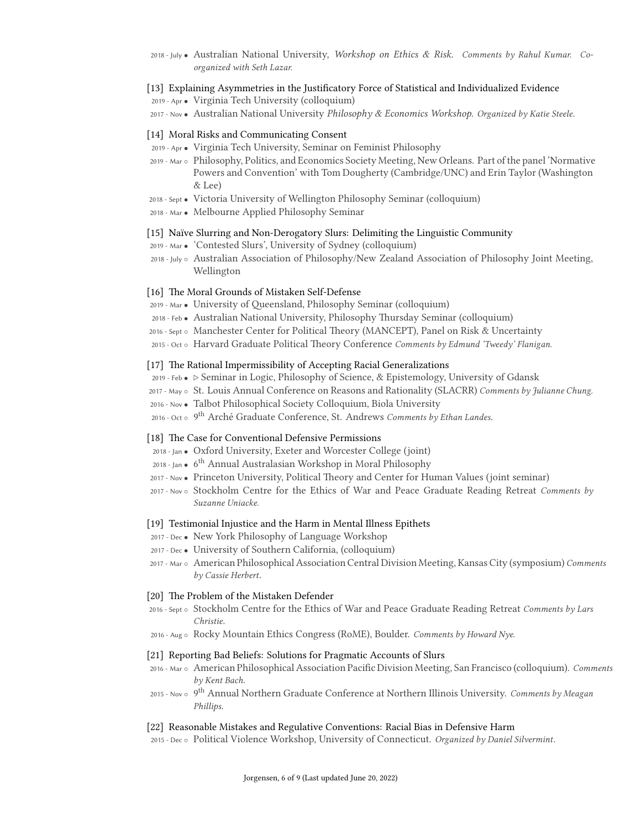2018 - July *•* Australian National University, *Workshop on Ethics & Risk*. *Comments by Rahul Kumar. Coorganized with Seth Lazar.*

#### [13] Explaining Asymmetries in the Justificatory Force of Statistical and Individualized Evidence

2019 - Apr *•* Virginia Tech University (colloquium)

2017 - Nov *•* Australian National University *Philosophy & Economics Workshop*. *Organized by Katie Steele*.

#### [14] Moral Risks and Communicating Consent

- 2019 Apr *•* Virginia Tech University, Seminar on Feminist Philosophy
- 2019 Mar *◦* Philosophy, Politics, and Economics Society Meeting, New Orleans. Part of the panel 'Normative Powers and Convention' with Tom Dougherty (Cambridge/UNC) and Erin Taylor (Washington & Lee)
- 2018 Sept *•* Victoria University of Wellington Philosophy Seminar (colloquium)
- 2018 Mar *•* Melbourne Applied Philosophy Seminar

## [15] Naïve Slurring and Non-Derogatory Slurs: Delimiting the Linguistic Community

- 2019 Mar *•* 'Contested Slurs', University of Sydney (colloquium)
- 2018 July *◦* Australian Association of Philosophy/New Zealand Association of Philosophy Joint Meeting, Wellington

### [16] The Moral Grounds of Mistaken Self-Defense

- 2019 Mar *•* University of Queensland, Philosophy Seminar (colloquium)
- 2018 Feb *•* Australian National University, Philosophy Thursday Seminar (colloquium)
- 2016 Sept *◦* Manchester Center for Political Theory (MANCEPT), Panel on Risk & Uncertainty
- 2015 Oct *◦* Harvard Graduate Political Theory Conference *Comments by Edmund 'Tweedy' Flanigan.*

### [17] The Rational Impermissibility of Accepting Racial Generalizations

- 2019 Feb *• ▷* Seminar in Logic, Philosophy of Science, & Epistemology, University of Gdansk
- 2017 May *◦* St. Louis Annual Conference on Reasons and Rationality (SLACRR) *Comments by Julianne Chung.*
- 2016 Nov *•* Talbot Philosophical Society Colloquium, Biola University
- 2016 Oct *◦* 9 th Arché Graduate Conference, St. Andrews *Comments by Ethan Landes*.

## [18] The Case for Conventional Defensive Permissions

- 2018 Jan *•* Oxford University, Exeter and Worcester College (joint)
- 2018 Jan *•* 6 th Annual Australasian Workshop in Moral Philosophy
- 2017 Nov *•* Princeton University, Political Theory and Center for Human Values (joint seminar)
- 2017 Nov *◦* Stockholm Centre for the Ethics of War and Peace Graduate Reading Retreat *Comments by Suzanne Uniacke.*

## [19] Testimonial Injustice and the Harm in Mental Illness Epithets

- 2017 Dec *•* New York Philosophy of Language Workshop
- 2017 Dec *•* University of Southern California, (colloquium)
- 2017 Mar *◦* American Philosophical Association Central Division Meeting, Kansas City (symposium) *Comments by Cassie Herbert*.

#### [20] The Problem of the Mistaken Defender

- 2016 Sept *◦* Stockholm Centre for the Ethics of War and Peace Graduate Reading Retreat *Comments by Lars Christie*.
- 2016 Aug *◦* Rocky Mountain Ethics Congress (RoME), Boulder. *Comments by Howard Nye.*

### [21] Reporting Bad Beliefs: Solutions for Pragmatic Accounts of Slurs

- 2016 Mar *◦* American Philosophical Association Pacific Division Meeting, San Francisco (colloquium). *Comments by Kent Bach*.
- 2015 Nov *◦* 9 th Annual Northern Graduate Conference at Northern Illinois University. *Comments by Meagan Phillips*.

#### [22] Reasonable Mistakes and Regulative Conventions: Racial Bias in Defensive Harm

2015 - Dec *◦* Political Violence Workshop, University of Connecticut. *Organized by Daniel Silvermint*.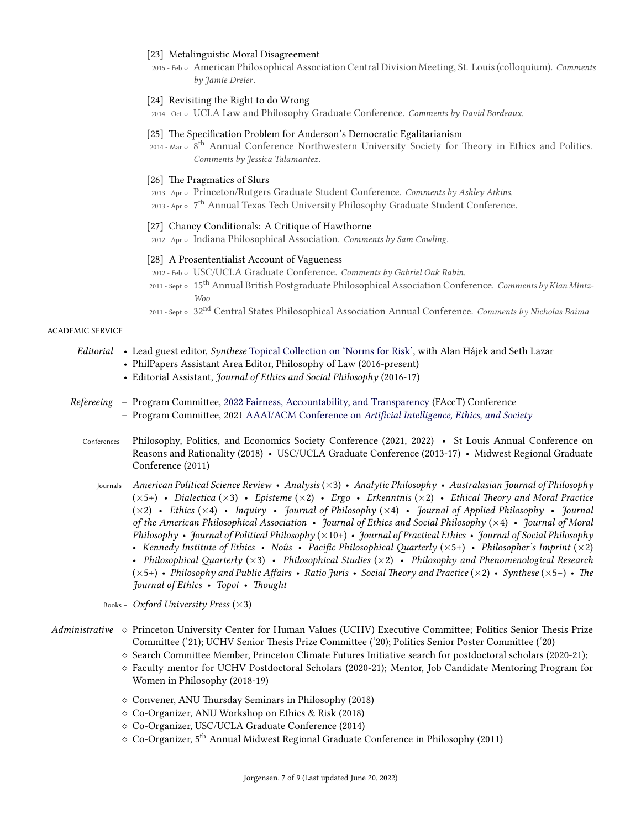## [23] Metalinguistic Moral Disagreement

2015 - Feb *◦* American Philosophical Association Central Division Meeting, St. Louis (colloquium). *Comments by Jamie Dreier*.

## [24] Revisiting the Right to do Wrong

2014 - Oct *◦* UCLA Law and Philosophy Graduate Conference. *Comments by David Bordeaux.*

## [25] The Specification Problem for Anderson's Democratic Egalitarianism

- 2014 Mar ∘ 8<sup>th</sup> Annual Conference Northwestern University Society for Theory in Ethics and Politics. *Comments by Jessica Talamantez*.
- [26] The Pragmatics of Slurs
- 2013 Apr *◦* Princeton/Rutgers Graduate Student Conference. *Comments by Ashley Atkins.*
- 2013 Apr *◦* 7 th Annual Texas Tech University Philosophy Graduate Student Conference.

#### [27] Chancy Conditionals: A Critique of Hawthorne

2012 - Apr *◦* Indiana Philosophical Association. *Comments by Sam Cowling*.

## [28] A Prosententialist Account of Vagueness

- 2012 Feb *◦* USC/UCLA Graduate Conference. *Comments by Gabriel Oak Rabin.*
- 2011 Sept *◦* 15th Annual British Postgraduate Philosophical Association Conference. *Comments by Kian Mintz-Woo*
- 2011 Sept *◦* 32nd Central States Philosophical Association Annual Conference. *Comments by Nicholas Baima*

#### ACADEMIC SERVICE

- *Editorial* Lead guest editor, *Synthese* [Topical Collection on 'Norms for Risk',](https://link.springer.com/journal/11229/topicalCollection/AC_fb93ffee5bd81f812ab00664e5912fd9) with Alan Hájek and Seth Lazar
	- PhilPapers Assistant Area Editor, Philosophy of Law (2016-present)
	- Editorial Assistant, *Journal of Ethics and Social Philosophy* (2016-17)
- *Refereeing* Program Committee, [2022 Fairness, Accountability, and Transparency](https://facctconference.org/2022/) (FAccT) Conference – Program Committee, 2021 AAAI/ACM Conference on *[Artificial Intelligence, Ethics, and Society](https://www.aies-conference.com/2021/program-committee/)*
	- Conferences Philosophy, Politics, and Economics Society Conference (2021, 2022) St Louis Annual Conference on Reasons and Rationality (2018) • USC/UCLA Graduate Conference (2013-17) • Midwest Regional Graduate Conference (2011)
		- Journals *American Political Science Review Analysis* (*×*3) *Analytic Philosophy Australasian Journal of Philosophy* (*×*5+) • *Dialectica* (*×*3) • *Episteme* (*×*2) • *Ergo* • *Erkenntnis* (*×*2) • *Ethical Theory and Moral Practice* (*×*2) • *Ethics* (*×*4) • *Inquiry* • *Journal of Philosophy* (*×*4) • *Journal of Applied Philosophy* • *Journal of the American Philosophical Association* • *Journal of Ethics and Social Philosophy* (*×*4) • *Journal of Moral Philosophy* • *Journal of Political Philosophy* (*×*10+) • *Journal of Practical Ethics* • *Journal of Social Philosophy* • *Kennedy Institute of Ethics* • *Noûs* • *Pacific Philosophical Quarterly* (*×*5+) • *Philosopher's Imprint* (*×*2) • *Philosophical Quarterly* (*×*3) • *Philosophical Studies* (*×*2) • *Philosophy and Phenomenological Research* (*×*5+) • *Philosophy and Public Affairs* • *Ratio Juris* • *Social Theory and Practice* (*×*2) • *Synthese* (*×*5+) • *The Journal of Ethics* • *Topoi* • *Thought*
		- Books *Oxford University Press* (*×*3)
- *Administrative ⋄* Princeton University Center for Human Values (UCHV) Executive Committee; Politics Senior Thesis Prize Committee ('21); UCHV Senior Thesis Prize Committee ('20); Politics Senior Poster Committee ('20)
	- *⋄* Search Committee Member, Princeton Climate Futures Initiative search for postdoctoral scholars (2020-21);
	- *⋄* Faculty mentor for UCHV Postdoctoral Scholars (2020-21); Mentor, Job Candidate Mentoring Program for Women in Philosophy (2018-19)
	- *⋄* Convener, ANU Thursday Seminars in Philosophy (2018)
	- *⋄* Co-Organizer, ANU Workshop on Ethics & Risk (2018)
	- *⋄* Co-Organizer, USC/UCLA Graduate Conference (2014)
	- *<sup>⋄</sup>* Co-Organizer, 5th Annual Midwest Regional Graduate Conference in Philosophy (2011)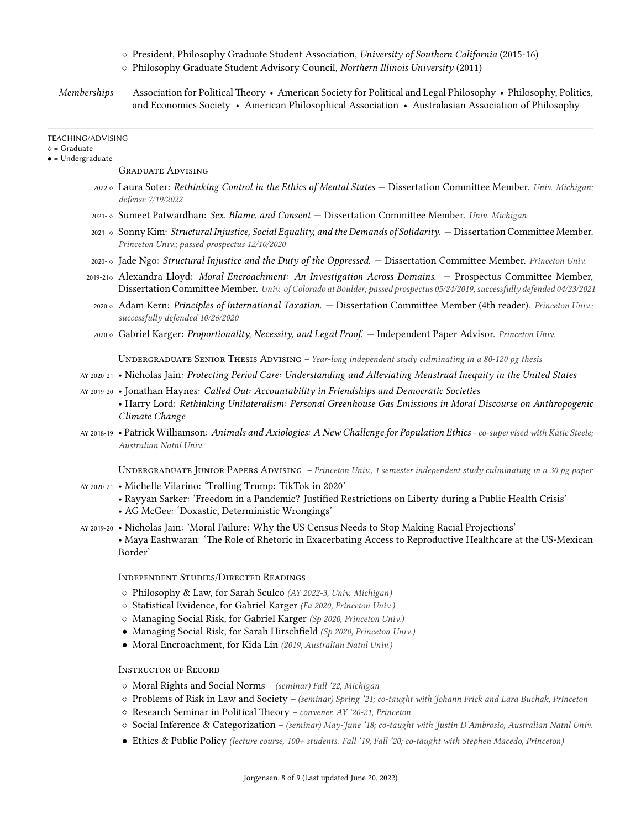- *⋄* President, Philosophy Graduate Student Association, *University of Southern California* (2015-16)
- *⋄* Philosophy Graduate Student Advisory Council, *Northern Illinois University* (2011)
- *Memberships* Association for Political Theory American Society for Political and Legal Philosophy Philosophy, Politics, and Economics Society • American Philosophical Association • Australasian Association of Philosophy

#### TEACHING/ADVISING

*⋄* = Graduate

*•* = Undergraduate

GRaduate Advising

- <sup>2022</sup> *<sup>⋄</sup>* Laura Soter: *Rethinking Control in the Ethics of Mental States* Dissertation Committee Member. *Univ. Michigan; defense 7/19/2022*
- 2021- *<sup>⋄</sup>* Sumeet Patwardhan: *Sex, Blame, and Consent* Dissertation Committee Member. *Univ. Michigan*
- 2021- *<sup>⋄</sup>* Sonny Kim: *Structural Injustice, Social Equality, and the Demands of Solidarity*. Dissertation Committee Member. *Princeton Univ.; passed prospectus 12/10/2020*
- 2020- *<sup>⋄</sup>* Jade Ngo: *Structural Injustice and the Duty of the Oppressed*. Dissertation Committee Member. *Princeton Univ.*
- 2019-21*<sup>⋄</sup>* Alexandra Lloyd: *Moral Encroachment: An Investigation Across Domains*. Prospectus Committee Member, Dissertation Committee Member. *Univ. of Colorado at Boulder; passed prospectus 05/24/2019, successfully defended 04/23/2021*
	- <sup>2020</sup> *<sup>⋄</sup>* Adam Kern: *Principles of International Taxation*. Dissertation Committee Member (4th reader). *Princeton Univ.; successfully defended 10/26/2020*
- <sup>2020</sup> *<sup>⋄</sup>* Gabriel Karger: *Proportionality, Necessity, and Legal Proof*. Independent Paper Advisor. *Princeton Univ.*

UNDERGRADUATE SENIOR THESIS ADVISING *– Year-long independent study culminating in a 80-120 pg thesis* 

- AY 2020-21 Nicholas Jain: *Protecting Period Care: Understanding and Alleviating Menstrual Inequity in the United States*
- AY 2019-20 Jonathan Haynes: *Called Out: Accountability in Friendships and Democratic Societies* • Harry Lord: *Rethinking Unilateralism: Personal Greenhouse Gas Emissions in Moral Discourse on Anthropogenic Climate Change*
- AY 2018-19 Patrick Williamson: *Animals and Axiologies: A New Challenge for Population Ethics co-supervised with Katie Steele; Australian Natnl Univ.*

UNDERGRADUATE JUNIOR PAPERS ADVISING *– Princeton Univ., 1 semester independent study culminating in a 30 pg paper* AY 2020-21 • Michelle Vilarino: 'Trolling Trump: TikTok in 2020'

- Rayyan Sarker: 'Freedom in a Pandemic? Justified Restrictions on Liberty during a Public Health Crisis'
- AG McGee: 'Doxastic, Deterministic Wrongings'
- AY 2019-20 Nicholas Jain: 'Moral Failure: Why the US Census Needs to Stop Making Racial Projections' • Maya Eashwaran: 'The Role of Rhetoric in Exacerbating Access to Reproductive Healthcare at the US-Mexican Border'

Independent Studies/DiRected Readings

- *⋄* Philosophy & Law, for Sarah Sculco *(AY 2022-3, Univ. Michigan)*
- *⋄* Statistical Evidence, for Gabriel Karger *(Fa 2020, Princeton Univ.)*
- *⋄* Managing Social Risk, for Gabriel Karger *(Sp 2020, Princeton Univ.)*
- *•* Managing Social Risk, for Sarah Hirschfield *(Sp 2020, Princeton Univ.)*
- *•* Moral Encroachment, for Kida Lin *(2019, Australian Natnl Univ.)*

InstRuctoR of RecoRd

- *⋄* Moral Rights and Social Norms  *(seminar) Fall '22, Michigan*
- *⋄* Problems of Risk in Law and Society  *(seminar) Spring '21; co-taught with Johann Frick and Lara Buchak, Princeton*
- *⋄* Research Seminar in Political Theory  *convener, AY '20-21, Princeton*
- *⋄* Social Inference & Categorization  *(seminar) May-June '18; co-taught with Justin D'Ambrosio, Australian Natnl Univ.*
- *•* Ethics & Public Policy *(lecture course, 100+ students. Fall '19, Fall '20; co-taught with Stephen Macedo, Princeton)*